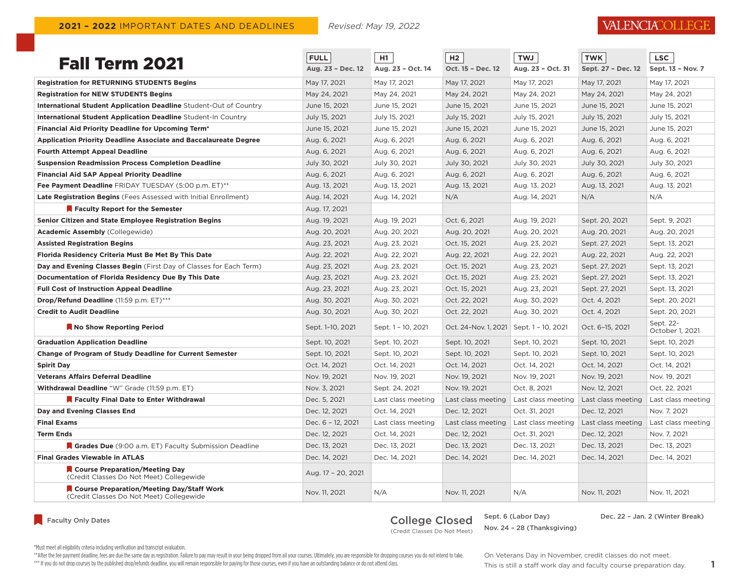## VALENCIACOLLEGE

| <b>Fall Term 2021</b>                                                                 | <b>FULL</b><br>Aug. 23 - Dec. 12 | H1<br>Aug. 23 - Oct. 14 | H <sub>2</sub><br>Oct. 15 - Dec. 12 | <b>TWJ</b><br>Aug. 23 - Oct. 31 | <b>TWK</b><br>Sept. 27 - Dec. 12 | <b>LSC</b><br>Sept. 13 - Nov. 7 |
|---------------------------------------------------------------------------------------|----------------------------------|-------------------------|-------------------------------------|---------------------------------|----------------------------------|---------------------------------|
| <b>Registration for RETURNING STUDENTS Begins</b>                                     | May 17, 2021                     | May 17, 2021            | May 17, 2021                        | May 17, 2021                    | May 17, 2021                     | May 17, 2021                    |
| <b>Registration for NEW STUDENTS Begins</b>                                           | May 24, 2021                     | May 24, 2021            | May 24, 2021                        | May 24, 2021                    | May 24, 2021                     | May 24, 2021                    |
| International Student Application Deadline Student-Out of Country                     | June 15, 2021                    | June 15, 2021           | June 15, 2021                       | June 15, 2021                   | June 15, 2021                    | June 15, 2021                   |
| <b>International Student Application Deadline Student-In Country</b>                  | July 15, 2021                    | July 15, 2021           | July 15, 2021                       | July 15, 2021                   | July 15, 2021                    | July 15, 2021                   |
| <b>Financial Aid Priority Deadline for Upcoming Term*</b>                             | June 15, 2021                    | June 15, 2021           | June 15, 2021                       | June 15, 2021                   | June 15, 2021                    | June 15, 2021                   |
| <b>Application Priority Deadline Associate and Baccalaureate Degree</b>               | Aug. 6, 2021                     | Aug. 6, 2021            | Aug. 6, 2021                        | Aug. 6, 2021                    | Aug. 6, 2021                     | Aug. 6, 2021                    |
| <b>Fourth Attempt Appeal Deadline</b>                                                 | Aug. 6, 2021                     | Aug. 6, 2021            | Aug. 6, 2021                        | Aug. 6, 2021                    | Aug. 6, 2021                     | Aug. 6, 2021                    |
| <b>Suspension Readmission Process Completion Deadline</b>                             | July 30, 2021                    | July 30, 2021           | July 30, 2021                       | July 30, 2021                   | July 30, 2021                    | July 30, 2021                   |
| <b>Financial Aid SAP Appeal Priority Deadline</b>                                     | Aug. 6, 2021                     | Aug. 6, 2021            | Aug. 6, 2021                        | Aug. 6, 2021                    | Aug. 6, 2021                     | Aug. 6, 2021                    |
| Fee Payment Deadline FRIDAY TUESDAY (5:00 p.m. ET)**                                  | Aug. 13, 2021                    | Aug. 13, 2021           | Aug. 13, 2021                       | Aug. 13, 2021                   | Aug. 13, 2021                    | Aug. 13, 2021                   |
| Late Registration Begins (Fees Assessed with Initial Enrollment)                      | Aug. 14, 2021                    | Aug. 14, 2021           | N/A                                 | Aug. 14, 2021                   | N/A                              | N/A                             |
| Faculty Report for the Semester                                                       | Aug. 17, 2021                    |                         |                                     |                                 |                                  |                                 |
| Senior Citizen and State Employee Registration Begins                                 | Aug. 19, 2021                    | Aug. 19, 2021           | Oct. 6, 2021                        | Aug. 19, 2021                   | Sept. 20, 2021                   | Sept. 9, 2021                   |
| <b>Academic Assembly</b> (Collegewide)                                                | Aug. 20, 2021                    | Aug. 20, 2021           | Aug. 20, 2021                       | Aug. 20, 2021                   | Aug. 20, 2021                    | Aug. 20, 2021                   |
| <b>Assisted Registration Begins</b>                                                   | Aug. 23, 2021                    | Aug. 23, 2021           | Oct. 15, 2021                       | Aug. 23, 2021                   | Sept. 27, 2021                   | Sept. 13, 2021                  |
| Florida Residency Criteria Must Be Met By This Date                                   | Aug. 22, 2021                    | Aug. 22, 2021           | Aug. 22, 2021                       | Aug. 22, 2021                   | Aug. 22, 2021                    | Aug. 22, 2021                   |
| Day and Evening Classes Begin (First Day of Classes for Each Term)                    | Aug. 23, 2021                    | Aug. 23, 2021           | Oct. 15, 2021                       | Aug. 23, 2021                   | Sept. 27, 2021                   | Sept. 13, 2021                  |
| Documentation of Florida Residency Due By This Date                                   | Aug. 23, 2021                    | Aug. 23, 2021           | Oct. 15, 2021                       | Aug. 23, 2021                   | Sept. 27, 2021                   | Sept. 13, 2021                  |
| <b>Full Cost of Instruction Appeal Deadline</b>                                       | Aug. 23, 2021                    | Aug. 23, 2021           | Oct. 15, 2021                       | Aug. 23, 2021                   | Sept. 27, 2021                   | Sept. 13, 2021                  |
| <b>Drop/Refund Deadline</b> (11:59 p.m. ET)***                                        | Aug. 30, 2021                    | Aug. 30, 2021           | Oct. 22, 2021                       | Aug. 30, 2021                   | Oct. 4, 2021                     | Sept. 20, 2021                  |
| <b>Credit to Audit Deadline</b>                                                       | Aug. 30, 2021                    | Aug. 30, 2021           | Oct. 22, 2021                       | Aug. 30, 2021                   | Oct. 4, 2021                     | Sept. 20, 2021                  |
| No Show Reporting Period                                                              | Sept. 1-10, 2021                 | Sept. 1 - 10, 2021      | Oct. 24-Nov. 1, 2021                | Sept. 1 - 10, 2021              | Oct. 6-15, 2021                  | Sept. 22-<br>October 1, 2021    |
| <b>Graduation Application Deadline</b>                                                | Sept. 10, 2021                   | Sept. 10, 2021          | Sept. 10, 2021                      | Sept. 10, 2021                  | Sept. 10, 2021                   | Sept. 10, 2021                  |
| <b>Change of Program of Study Deadline for Current Semester</b>                       | Sept. 10, 2021                   | Sept. 10, 2021          | Sept. 10, 2021                      | Sept. 10, 2021                  | Sept. 10, 2021                   | Sept. 10, 2021                  |
| <b>Spirit Day</b>                                                                     | Oct. 14, 2021                    | Oct. 14, 2021           | Oct. 14, 2021                       | Oct. 14, 2021                   | Oct. 14, 2021                    | Oct. 14, 2021                   |
| <b>Veterans Affairs Deferral Deadline</b>                                             | Nov. 19, 2021                    | Nov. 19, 2021           | Nov. 19, 2021                       | Nov. 19, 2021                   | Nov. 19, 2021                    | Nov. 19, 2021                   |
| Withdrawal Deadline "W" Grade (11:59 p.m. ET)                                         | Nov. 3, 2021                     | Sept. 24, 2021          | Nov. 19, 2021                       | Oct. 8, 2021                    | Nov. 12, 2021                    | Oct. 22, 2021                   |
| Faculty Final Date to Enter Withdrawal                                                | Dec. 5, 2021                     | Last class meeting      | Last class meeting                  | Last class meeting              | Last class meeting               | Last class meeting              |
| Day and Evening Classes End                                                           | Dec. 12, 2021                    | Oct. 14, 2021           | Dec. 12, 2021                       | Oct. 31, 2021                   | Dec. 12, 2021                    | Nov. 7, 2021                    |
| <b>Final Exams</b>                                                                    | Dec. 6 - 12, 2021                | Last class meeting      | Last class meeting                  | Last class meeting              | Last class meeting               | Last class meeting              |
| <b>Term Ends</b>                                                                      | Dec. 12, 2021                    | Oct. 14, 2021           | Dec. 12, 2021                       | Oct. 31, 2021                   | Dec. 12, 2021                    | Nov. 7, 2021                    |
| Grades Due (9:00 a.m. ET) Faculty Submission Deadline                                 | Dec. 13, 2021                    | Dec. 13, 2021           | Dec. 13, 2021                       | Dec. 13, 2021                   | Dec. 13, 2021                    | Dec. 13, 2021                   |
| <b>Final Grades Viewable in ATLAS</b>                                                 | Dec. 14, 2021                    | Dec. 14, 2021           | Dec. 14, 2021                       | Dec. 14, 2021                   | Dec. 14, 2021                    | Dec. 14, 2021                   |
| Course Preparation/Meeting Day<br>(Credit Classes Do Not Meet) Collegewide            | Aug. 17 - 20, 2021               |                         |                                     |                                 |                                  |                                 |
| Course Preparation/Meeting Day/Staff Work<br>(Credit Classes Do Not Meet) Collegewide | Nov. 11, 2021                    | N/A                     | Nov. 11, 2021                       | N/A                             | Nov. 11, 2021                    | Nov. 11, 2021                   |

Faculty Only Dates

# College Closed Sept. 6 (Labor Day)

Nov. 24 – 28 (Thanksgiving)

Dec. 22 – Jan. 2 (Winter Break)

(Credit Classes Do Not Meet)

On Veterans Day in November, credit classes do not meet.

\*Must meet all eligibility criteria including verification and transcript evaluation.

\*\* After the fee payment deadline, fees are due the same day as registration. Failure to pay may result in your being dropped from all your courses. Ultimately, you are responsible for dropping courses you do not intend to

\*\*\* If you do not drop courses by the published drop/refunds deadline, you will remain responsible for paying for those courses, even if you have an outstanding balance or do not attend class. This is still a staff work da

This is still a staff work day and faculty course preparation day.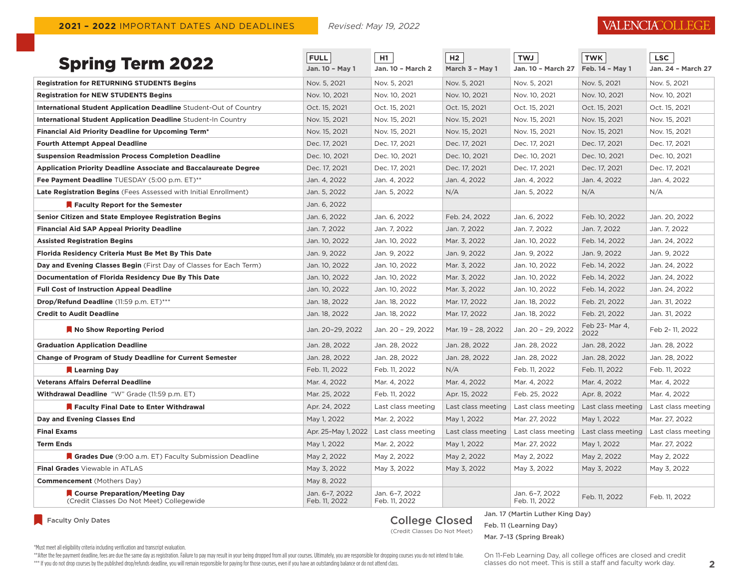### VALENCIACOLLEGE

| <b>Spring Term 2022</b>                                                    | <b>FULL</b><br>Jan. 10 - May 1  | H1<br>Jan. 10 - March 2                  | H2<br>March 3 - May 1 | <b>TWJ</b><br>Jan. 10 - March 27 | <b>TWK</b><br>Feb. 14 - May 1 | <b>LSC</b><br>Jan. 24 - March 27 |
|----------------------------------------------------------------------------|---------------------------------|------------------------------------------|-----------------------|----------------------------------|-------------------------------|----------------------------------|
| <b>Registration for RETURNING STUDENTS Begins</b>                          | Nov. 5, 2021                    | Nov. 5, 2021                             | Nov. 5, 2021          | Nov. 5, 2021                     | Nov. 5, 2021                  | Nov. 5, 2021                     |
| <b>Registration for NEW STUDENTS Begins</b>                                | Nov. 10, 2021                   | Nov. 10, 2021                            | Nov. 10, 2021         | Nov. 10, 2021                    | Nov. 10, 2021                 | Nov. 10, 2021                    |
| International Student Application Deadline Student-Out of Country          | Oct. 15, 2021                   | Oct. 15, 2021                            | Oct. 15, 2021         | Oct. 15, 2021                    | Oct. 15, 2021                 | Oct. 15, 2021                    |
| International Student Application Deadline Student-In Country              | Nov. 15, 2021                   | Nov. 15, 2021                            | Nov. 15, 2021         | Nov. 15, 2021                    | Nov. 15, 2021                 | Nov. 15, 2021                    |
| <b>Financial Aid Priority Deadline for Upcoming Term*</b>                  | Nov. 15, 2021                   | Nov. 15, 2021                            | Nov. 15, 2021         | Nov. 15, 2021                    | Nov. 15, 2021                 | Nov. 15, 2021                    |
| <b>Fourth Attempt Appeal Deadline</b>                                      | Dec. 17, 2021                   | Dec. 17, 2021                            | Dec. 17, 2021         | Dec. 17, 2021                    | Dec. 17, 2021                 | Dec. 17, 2021                    |
| <b>Suspension Readmission Process Completion Deadline</b>                  | Dec. 10, 2021                   | Dec. 10, 2021                            | Dec. 10, 2021         | Dec. 10, 2021                    | Dec. 10, 2021                 | Dec. 10, 2021                    |
| <b>Application Priority Deadline Associate and Baccalaureate Degree</b>    | Dec. 17, 2021                   | Dec. 17, 2021                            | Dec. 17, 2021         | Dec. 17, 2021                    | Dec. 17, 2021                 | Dec. 17, 2021                    |
| Fee Payment Deadline TUESDAY (5:00 p.m. ET)**                              | Jan. 4, 2022                    | Jan. 4, 2022                             | Jan. 4, 2022          | Jan. 4, 2022                     | Jan. 4, 2022                  | Jan. 4, 2022                     |
| <b>Late Registration Begins</b> (Fees Assessed with Initial Enrollment)    | Jan. 5, 2022                    | Jan. 5, 2022                             | N/A                   | Jan. 5, 2022                     | N/A                           | N/A                              |
| Faculty Report for the Semester                                            | Jan. 6, 2022                    |                                          |                       |                                  |                               |                                  |
| Senior Citizen and State Employee Registration Begins                      | Jan. 6, 2022                    | Jan. 6, 2022                             | Feb. 24, 2022         | Jan. 6, 2022                     | Feb. 10, 2022                 | Jan. 20, 2022                    |
| <b>Financial Aid SAP Appeal Priority Deadline</b>                          | Jan. 7, 2022                    | Jan. 7, 2022                             | Jan. 7, 2022          | Jan. 7, 2022                     | Jan. 7, 2022                  | Jan. 7, 2022                     |
| <b>Assisted Registration Begins</b>                                        | Jan. 10, 2022                   | Jan. 10, 2022                            | Mar. 3, 2022          | Jan. 10, 2022                    | Feb. 14, 2022                 | Jan. 24, 2022                    |
| Florida Residency Criteria Must Be Met By This Date                        | Jan. 9, 2022                    | Jan. 9, 2022                             | Jan. 9, 2022          | Jan. 9, 2022                     | Jan. 9, 2022                  | Jan. 9, 2022                     |
| Day and Evening Classes Begin (First Day of Classes for Each Term)         | Jan. 10, 2022                   | Jan. 10, 2022                            | Mar. 3, 2022          | Jan. 10, 2022                    | Feb. 14, 2022                 | Jan. 24, 2022                    |
| Documentation of Florida Residency Due By This Date                        | Jan. 10, 2022                   | Jan. 10, 2022                            | Mar. 3, 2022          | Jan. 10, 2022                    | Feb. 14, 2022                 | Jan. 24, 2022                    |
| <b>Full Cost of Instruction Appeal Deadline</b>                            | Jan. 10, 2022                   | Jan. 10, 2022                            | Mar. 3. 2022          | Jan. 10, 2022                    | Feb. 14, 2022                 | Jan. 24, 2022                    |
| <b>Drop/Refund Deadline</b> (11:59 p.m. ET)***                             | Jan. 18, 2022                   | Jan. 18, 2022                            | Mar. 17, 2022         | Jan. 18, 2022                    | Feb. 21, 2022                 | Jan. 31, 2022                    |
| <b>Credit to Audit Deadline</b>                                            | Jan. 18, 2022                   | Jan. 18, 2022                            | Mar. 17, 2022         | Jan. 18, 2022                    | Feb. 21, 2022                 | Jan. 31, 2022                    |
| No Show Reporting Period                                                   | Jan. 20-29. 2022                | Jan. 20 - 29. 2022                       | Mar. 19 - 28, 2022    | Jan. 20 - 29. 2022               | Feb 23- Mar 4,<br>2022        | Feb 2-11, 2022                   |
| <b>Graduation Application Deadline</b>                                     | Jan. 28, 2022                   | Jan. 28, 2022                            | Jan. 28, 2022         | Jan. 28, 2022                    | Jan. 28, 2022                 | Jan. 28, 2022                    |
| <b>Change of Program of Study Deadline for Current Semester</b>            | Jan. 28, 2022                   | Jan. 28, 2022                            | Jan. 28, 2022         | Jan. 28, 2022                    | Jan. 28, 2022                 | Jan. 28, 2022                    |
| Learning Day                                                               | Feb. 11, 2022                   | Feb. 11, 2022                            | N/A                   | Feb. 11, 2022                    | Feb. 11, 2022                 | Feb. 11, 2022                    |
| <b>Veterans Affairs Deferral Deadline</b>                                  | Mar. 4, 2022                    | Mar. 4, 2022                             | Mar. 4, 2022          | Mar. 4, 2022                     | Mar. 4, 2022                  | Mar. 4, 2022                     |
| Withdrawal Deadline "W" Grade (11:59 p.m. ET)                              | Mar. 25, 2022                   | Feb. 11, 2022                            | Apr. 15, 2022         | Feb. 25, 2022                    | Apr. 8, 2022                  | Mar. 4, 2022                     |
| Faculty Final Date to Enter Withdrawal                                     | Apr. 24, 2022                   | Last class meeting                       | Last class meeting    | Last class meeting               | Last class meeting            | Last class meeting               |
| Day and Evening Classes End                                                | May 1, 2022                     | Mar. 2, 2022                             | May 1, 2022           | Mar. 27, 2022                    | May 1, 2022                   | Mar. 27, 2022                    |
| <b>Final Exams</b>                                                         |                                 | Apr. 25-May 1, 2022   Last class meeting | Last class meeting    | Last class meeting               | Last class meeting            | Last class meeting               |
| <b>Term Ends</b>                                                           | May 1, 2022                     | Mar. 2, 2022                             | May 1, 2022           | Mar. 27, 2022                    | May 1, 2022                   | Mar. 27, 2022                    |
| Grades Due (9:00 a.m. ET) Faculty Submission Deadline                      | May 2, 2022                     | May 2, 2022                              | May 2, 2022           | May 2, 2022                      | May 2, 2022                   | May 2, 2022                      |
| Final Grades Viewable in ATLAS                                             | May 3, 2022                     | May 3, 2022                              | May 3, 2022           | May 3, 2022                      | May 3, 2022                   | May 3, 2022                      |
| <b>Commencement</b> (Mothers Day)                                          | May 8, 2022                     |                                          |                       |                                  |                               |                                  |
| Course Preparation/Meeting Day<br>(Credit Classes Do Not Meet) Collegewide | Jan. 6-7, 2022<br>Feb. 11, 2022 | Jan. 6-7, 2022<br>Feb. 11, 2022          |                       | Jan. 6-7, 2022<br>Feb. 11, 2022  | Feb. 11, 2022                 | Feb. 11, 2022                    |

Faculty Only Dates

# Jan. 17 (Martin Luther King Day)<br>
College Closed Fab 11 (Lorming Day)

Feb. 11 (Learning Day) (Credit Classes Do Not Meet)

Mar. 7–13 (Spring Break)

\*Must meet all eligibility criteria including verification and transcript evaluation.

\*\* After the fee payment deadline, fees are due the same day as registration. Failure to pay may result in your being dropped from all your courses. Ultimately, you are responsible for dropping courses you do not intend to

\*\*\* If you do not drop courses by the published drop/refunds deadline, you will remain responsible for paying for those courses, even if you have an outstanding balance or do not attend class. <br> **2** Classes do not meet. Th

On 11-Feb Learning Day, all college offices are closed and credit classes do not meet. This is still a staff and faculty work day.